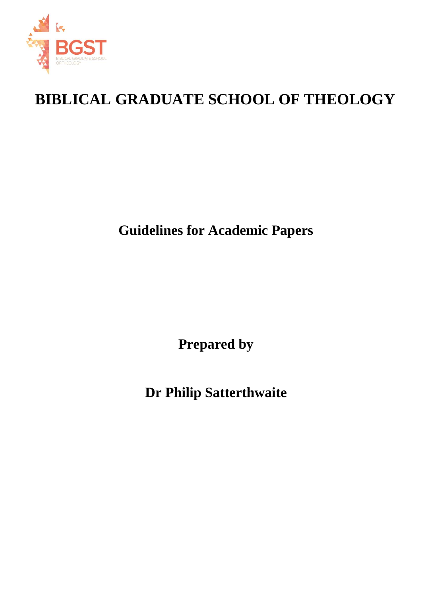

# **BIBLICAL GRADUATE SCHOOL OF THEOLOGY**

**Guidelines for Academic Papers**

**Prepared by** 

**Dr Philip Satterthwaite**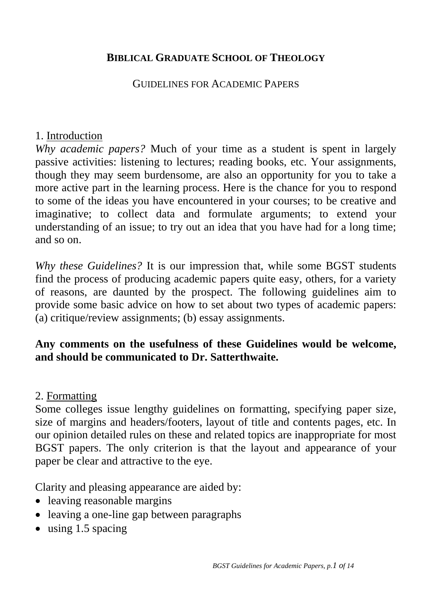#### **BIBLICAL GRADUATE SCHOOL OF THEOLOGY**

#### GUIDELINES FOR ACADEMIC PAPERS

#### 1. Introduction

*Why academic papers?* Much of your time as a student is spent in largely passive activities: listening to lectures; reading books, etc. Your assignments, though they may seem burdensome, are also an opportunity for you to take a more active part in the learning process. Here is the chance for you to respond to some of the ideas you have encountered in your courses; to be creative and imaginative; to collect data and formulate arguments; to extend your understanding of an issue; to try out an idea that you have had for a long time; and so on.

*Why these Guidelines?* It is our impression that, while some BGST students find the process of producing academic papers quite easy, others, for a variety of reasons, are daunted by the prospect. The following guidelines aim to provide some basic advice on how to set about two types of academic papers: (a) critique/review assignments; (b) essay assignments.

## **Any comments on the usefulness of these Guidelines would be welcome, and should be communicated to Dr. Satterthwaite.**

#### 2. Formatting

Some colleges issue lengthy guidelines on formatting, specifying paper size, size of margins and headers/footers, layout of title and contents pages, etc. In our opinion detailed rules on these and related topics are inappropriate for most BGST papers. The only criterion is that the layout and appearance of your paper be clear and attractive to the eye.

Clarity and pleasing appearance are aided by:

- leaving reasonable margins
- leaving a one-line gap between paragraphs
- using 1.5 spacing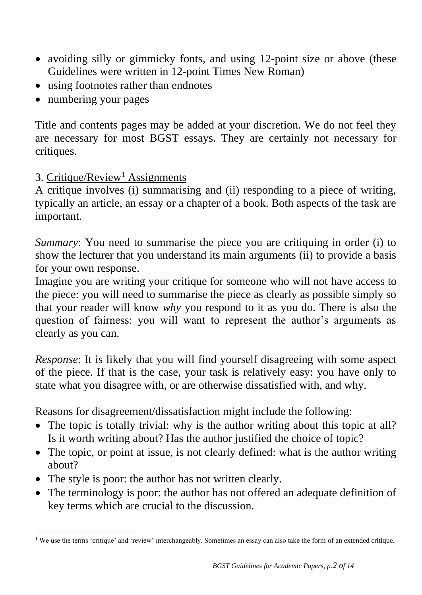- avoiding silly or gimmicky fonts, and using 12-point size or above (these Guidelines were written in 12-point Times New Roman)
- using footnotes rather than endnotes
- numbering your pages

Title and contents pages may be added at your discretion. We do not feel they are necessary for most BGST essays. They are certainly not necessary for critiques.

## 3. Critique/Review<sup>1</sup> Assignments

A critique involves (i) summarising and (ii) responding to a piece of writing, typically an article, an essay or a chapter of a book. Both aspects of the task are important.

*Summary*: You need to summarise the piece you are critiquing in order (i) to show the lecturer that you understand its main arguments (ii) to provide a basis for your own response.

Imagine you are writing your critique for someone who will not have access to the piece: you will need to summarise the piece as clearly as possible simply so that your reader will know *why* you respond to it as you do. There is also the question of fairness: you will want to represent the author's arguments as clearly as you can.

*Response*: It is likely that you will find yourself disagreeing with some aspect of the piece. If that is the case, your task is relatively easy: you have only to state what you disagree with, or are otherwise dissatisfied with, and why.

Reasons for disagreement/dissatisfaction might include the following:

- The topic is totally trivial: why is the author writing about this topic at all? Is it worth writing about? Has the author justified the choice of topic?
- The topic, or point at issue, is not clearly defined: what is the author writing about?
- The style is poor: the author has not written clearly.
- The terminology is poor: the author has not offered an adequate definition of key terms which are crucial to the discussion.

<sup>&</sup>lt;sup>1</sup> We use the terms 'critique' and 'review' interchangeably. Sometimes an essay can also take the form of an extended critique.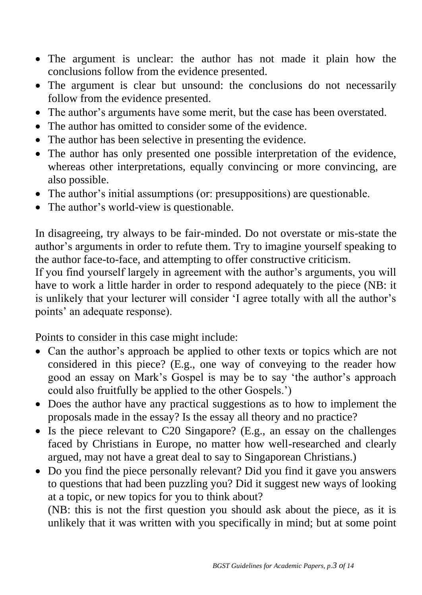- The argument is unclear: the author has not made it plain how the conclusions follow from the evidence presented.
- The argument is clear but unsound: the conclusions do not necessarily follow from the evidence presented.
- The author's arguments have some merit, but the case has been overstated.
- The author has omitted to consider some of the evidence.
- The author has been selective in presenting the evidence.
- The author has only presented one possible interpretation of the evidence, whereas other interpretations, equally convincing or more convincing, are also possible.
- The author's initial assumptions (or: presuppositions) are questionable.
- The author's world-view is questionable.

In disagreeing, try always to be fair-minded. Do not overstate or mis-state the author's arguments in order to refute them. Try to imagine yourself speaking to the author face-to-face, and attempting to offer constructive criticism.

If you find yourself largely in agreement with the author's arguments, you will have to work a little harder in order to respond adequately to the piece (NB: it is unlikely that your lecturer will consider 'I agree totally with all the author's points' an adequate response).

Points to consider in this case might include:

- Can the author's approach be applied to other texts or topics which are not considered in this piece? (E.g., one way of conveying to the reader how good an essay on Mark's Gospel is may be to say 'the author's approach could also fruitfully be applied to the other Gospels.')
- Does the author have any practical suggestions as to how to implement the proposals made in the essay? Is the essay all theory and no practice?
- Is the piece relevant to C20 Singapore? (E.g., an essay on the challenges faced by Christians in Europe, no matter how well-researched and clearly argued, may not have a great deal to say to Singaporean Christians.)
- Do you find the piece personally relevant? Did you find it gave you answers to questions that had been puzzling you? Did it suggest new ways of looking at a topic, or new topics for you to think about?

(NB: this is not the first question you should ask about the piece, as it is unlikely that it was written with you specifically in mind; but at some point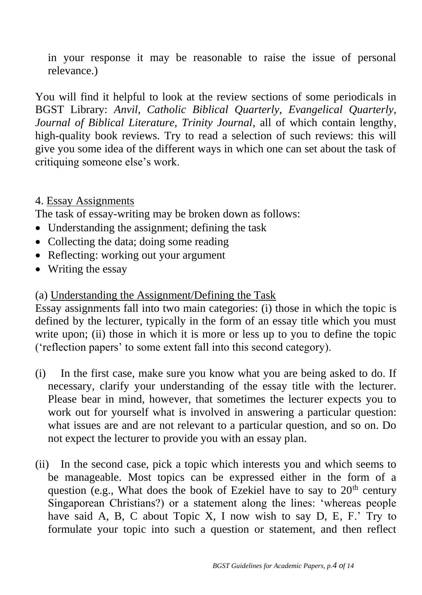in your response it may be reasonable to raise the issue of personal relevance.)

You will find it helpful to look at the review sections of some periodicals in BGST Library: *Anvil, Catholic Biblical Quarterly, Evangelical Quarterly, Journal of Biblical Literature, Trinity Journal*, all of which contain lengthy, high-quality book reviews. Try to read a selection of such reviews: this will give you some idea of the different ways in which one can set about the task of critiquing someone else's work.

## 4. Essay Assignments

The task of essay-writing may be broken down as follows:

- Understanding the assignment; defining the task
- Collecting the data; doing some reading
- Reflecting: working out your argument
- Writing the essay

#### (a) Understanding the Assignment/Defining the Task

Essay assignments fall into two main categories: (i) those in which the topic is defined by the lecturer, typically in the form of an essay title which you must write upon; (ii) those in which it is more or less up to you to define the topic ('reflection papers' to some extent fall into this second category).

- (i) In the first case, make sure you know what you are being asked to do. If necessary, clarify your understanding of the essay title with the lecturer. Please bear in mind, however, that sometimes the lecturer expects you to work out for yourself what is involved in answering a particular question: what issues are and are not relevant to a particular question, and so on. Do not expect the lecturer to provide you with an essay plan.
- (ii) In the second case, pick a topic which interests you and which seems to be manageable. Most topics can be expressed either in the form of a question (e.g., What does the book of Ezekiel have to say to  $20<sup>th</sup>$  century Singaporean Christians?) or a statement along the lines: 'whereas people have said A, B, C about Topic X, I now wish to say D, E, F.' Try to formulate your topic into such a question or statement, and then reflect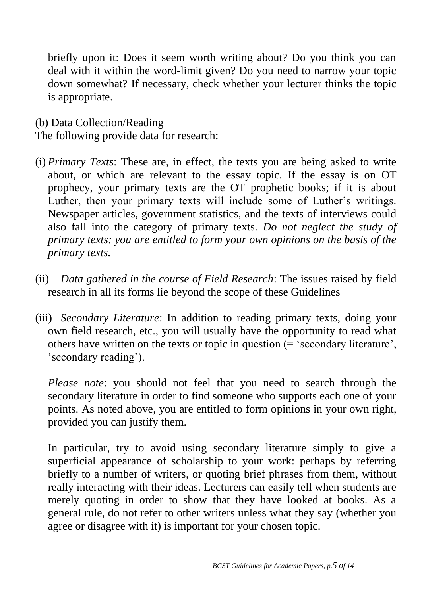briefly upon it: Does it seem worth writing about? Do you think you can deal with it within the word-limit given? Do you need to narrow your topic down somewhat? If necessary, check whether your lecturer thinks the topic is appropriate.

(b) Data Collection/Reading

The following provide data for research:

- (i) *Primary Texts*: These are, in effect, the texts you are being asked to write about, or which are relevant to the essay topic. If the essay is on OT prophecy, your primary texts are the OT prophetic books; if it is about Luther, then your primary texts will include some of Luther's writings. Newspaper articles, government statistics, and the texts of interviews could also fall into the category of primary texts. *Do not neglect the study of primary texts: you are entitled to form your own opinions on the basis of the primary texts.*
- (ii) *Data gathered in the course of Field Research*: The issues raised by field research in all its forms lie beyond the scope of these Guidelines
- (iii) *Secondary Literature*: In addition to reading primary texts, doing your own field research, etc., you will usually have the opportunity to read what others have written on the texts or topic in question (= 'secondary literature', 'secondary reading').

*Please note*: you should not feel that you need to search through the secondary literature in order to find someone who supports each one of your points. As noted above, you are entitled to form opinions in your own right, provided you can justify them.

In particular, try to avoid using secondary literature simply to give a superficial appearance of scholarship to your work: perhaps by referring briefly to a number of writers, or quoting brief phrases from them, without really interacting with their ideas. Lecturers can easily tell when students are merely quoting in order to show that they have looked at books. As a general rule, do not refer to other writers unless what they say (whether you agree or disagree with it) is important for your chosen topic.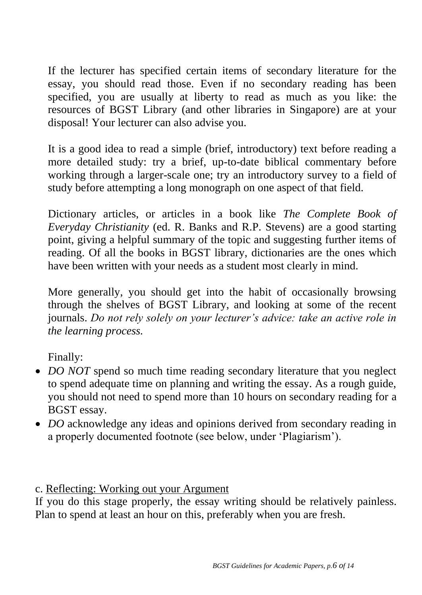If the lecturer has specified certain items of secondary literature for the essay, you should read those. Even if no secondary reading has been specified, you are usually at liberty to read as much as you like: the resources of BGST Library (and other libraries in Singapore) are at your disposal! Your lecturer can also advise you.

It is a good idea to read a simple (brief, introductory) text before reading a more detailed study: try a brief, up-to-date biblical commentary before working through a larger-scale one; try an introductory survey to a field of study before attempting a long monograph on one aspect of that field.

Dictionary articles, or articles in a book like *The Complete Book of Everyday Christianity* (ed. R. Banks and R.P. Stevens) are a good starting point, giving a helpful summary of the topic and suggesting further items of reading. Of all the books in BGST library, dictionaries are the ones which have been written with your needs as a student most clearly in mind.

More generally, you should get into the habit of occasionally browsing through the shelves of BGST Library, and looking at some of the recent journals. *Do not rely solely on your lecturer's advice: take an active role in the learning process.*

Finally:

- *DO NOT* spend so much time reading secondary literature that you neglect to spend adequate time on planning and writing the essay. As a rough guide, you should not need to spend more than 10 hours on secondary reading for a BGST essay.
- *DO* acknowledge any ideas and opinions derived from secondary reading in a properly documented footnote (see below, under 'Plagiarism').

## c. Reflecting: Working out your Argument

If you do this stage properly, the essay writing should be relatively painless. Plan to spend at least an hour on this, preferably when you are fresh.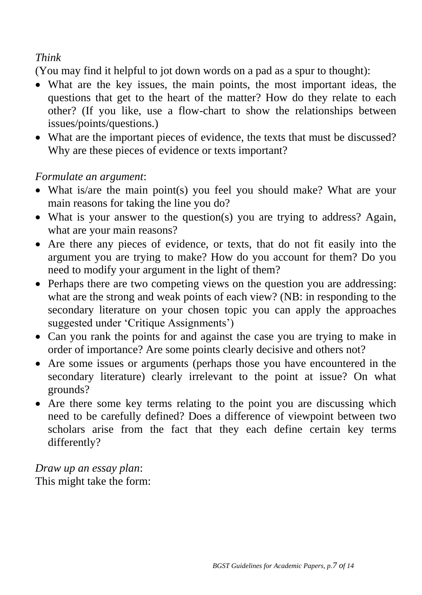## *Think*

(You may find it helpful to jot down words on a pad as a spur to thought):

- What are the key issues, the main points, the most important ideas, the questions that get to the heart of the matter? How do they relate to each other? (If you like, use a flow-chart to show the relationships between issues/points/questions.)
- What are the important pieces of evidence, the texts that must be discussed? Why are these pieces of evidence or texts important?

## *Formulate an argument*:

- What is/are the main point(s) you feel you should make? What are your main reasons for taking the line you do?
- What is your answer to the question(s) you are trying to address? Again, what are your main reasons?
- Are there any pieces of evidence, or texts, that do not fit easily into the argument you are trying to make? How do you account for them? Do you need to modify your argument in the light of them?
- Perhaps there are two competing views on the question you are addressing: what are the strong and weak points of each view? (NB: in responding to the secondary literature on your chosen topic you can apply the approaches suggested under 'Critique Assignments')
- Can you rank the points for and against the case you are trying to make in order of importance? Are some points clearly decisive and others not?
- Are some issues or arguments (perhaps those you have encountered in the secondary literature) clearly irrelevant to the point at issue? On what grounds?
- Are there some key terms relating to the point you are discussing which need to be carefully defined? Does a difference of viewpoint between two scholars arise from the fact that they each define certain key terms differently?

*Draw up an essay plan*: This might take the form: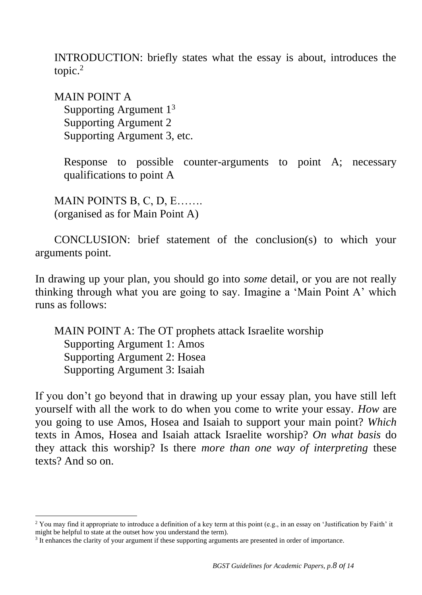INTRODUCTION: briefly states what the essay is about, introduces the topic.<sup>2</sup>

MAIN POINT A Supporting Argument 1<sup>3</sup> Supporting Argument 2 Supporting Argument 3, etc.

Response to possible counter-arguments to point A; necessary qualifications to point A

MAIN POINTS B, C, D, E……. (organised as for Main Point A)

CONCLUSION: brief statement of the conclusion(s) to which your arguments point.

In drawing up your plan, you should go into *some* detail, or you are not really thinking through what you are going to say. Imagine a 'Main Point A' which runs as follows:

MAIN POINT A: The OT prophets attack Israelite worship Supporting Argument 1: Amos Supporting Argument 2: Hosea Supporting Argument 3: Isaiah

If you don't go beyond that in drawing up your essay plan, you have still left yourself with all the work to do when you come to write your essay. *How* are you going to use Amos, Hosea and Isaiah to support your main point? *Which* texts in Amos, Hosea and Isaiah attack Israelite worship? *On what basis* do they attack this worship? Is there *more than one way of interpreting* these texts? And so on.

<sup>&</sup>lt;sup>2</sup> You may find it appropriate to introduce a definition of a key term at this point (e.g., in an essay on 'Justification by Faith' it might be helpful to state at the outset how you understand the term).

<sup>&</sup>lt;sup>3</sup> It enhances the clarity of your argument if these supporting arguments are presented in order of importance.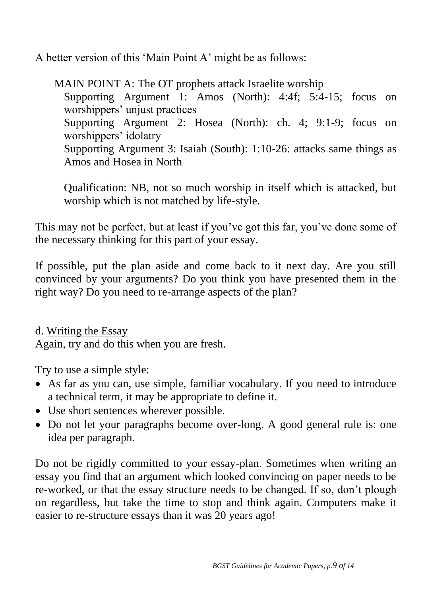A better version of this 'Main Point A' might be as follows:

MAIN POINT A: The OT prophets attack Israelite worship Supporting Argument 1: Amos (North): 4:4f; 5:4-15; focus on worshippers' unjust practices Supporting Argument 2: Hosea (North): ch. 4; 9:1-9; focus on worshippers' idolatry Supporting Argument 3: Isaiah (South): 1:10-26: attacks same things as Amos and Hosea in North

Qualification: NB, not so much worship in itself which is attacked, but worship which is not matched by life-style.

This may not be perfect, but at least if you've got this far, you've done some of the necessary thinking for this part of your essay.

If possible, put the plan aside and come back to it next day. Are you still convinced by your arguments? Do you think you have presented them in the right way? Do you need to re-arrange aspects of the plan?

d. Writing the Essay Again, try and do this when you are fresh.

Try to use a simple style:

- As far as you can, use simple, familiar vocabulary. If you need to introduce a technical term, it may be appropriate to define it.
- Use short sentences wherever possible.
- Do not let your paragraphs become over-long. A good general rule is: one idea per paragraph.

Do not be rigidly committed to your essay-plan. Sometimes when writing an essay you find that an argument which looked convincing on paper needs to be re-worked, or that the essay structure needs to be changed. If so, don't plough on regardless, but take the time to stop and think again. Computers make it easier to re-structure essays than it was 20 years ago!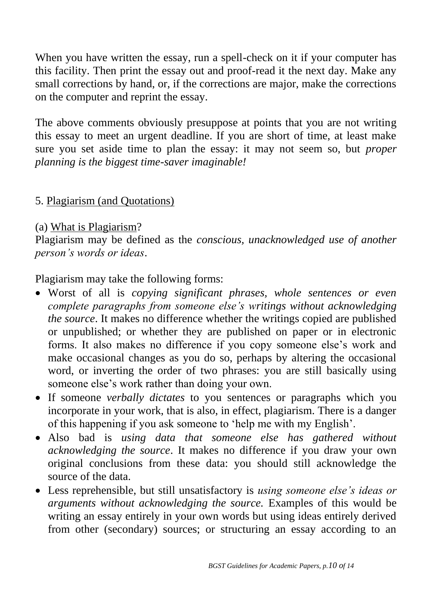When you have written the essay, run a spell-check on it if your computer has this facility. Then print the essay out and proof-read it the next day. Make any small corrections by hand, or, if the corrections are major, make the corrections on the computer and reprint the essay.

The above comments obviously presuppose at points that you are not writing this essay to meet an urgent deadline. If you are short of time, at least make sure you set aside time to plan the essay: it may not seem so, but *proper planning is the biggest time-saver imaginable!*

#### 5. Plagiarism (and Quotations)

#### (a) What is Plagiarism?

Plagiarism may be defined as the *conscious, unacknowledged use of another person's words or ideas*.

Plagiarism may take the following forms:

- Worst of all is *copying significant phrases, whole sentences or even complete paragraphs from someone else's writings without acknowledging the source*. It makes no difference whether the writings copied are published or unpublished; or whether they are published on paper or in electronic forms. It also makes no difference if you copy someone else's work and make occasional changes as you do so, perhaps by altering the occasional word, or inverting the order of two phrases: you are still basically using someone else's work rather than doing your own.
- If someone *verbally dictates* to you sentences or paragraphs which you incorporate in your work, that is also, in effect, plagiarism. There is a danger of this happening if you ask someone to 'help me with my English'.
- Also bad is *using data that someone else has gathered without acknowledging the source*. It makes no difference if you draw your own original conclusions from these data: you should still acknowledge the source of the data.
- Less reprehensible, but still unsatisfactory is *using someone else's ideas or arguments without acknowledging the source.* Examples of this would be writing an essay entirely in your own words but using ideas entirely derived from other (secondary) sources; or structuring an essay according to an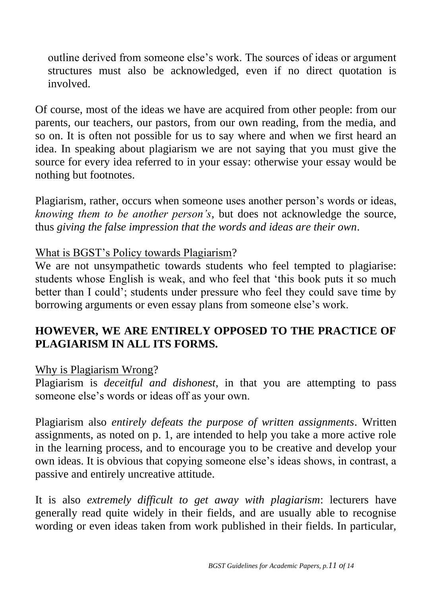outline derived from someone else's work. The sources of ideas or argument structures must also be acknowledged, even if no direct quotation is involved.

Of course, most of the ideas we have are acquired from other people: from our parents, our teachers, our pastors, from our own reading, from the media, and so on. It is often not possible for us to say where and when we first heard an idea. In speaking about plagiarism we are not saying that you must give the source for every idea referred to in your essay: otherwise your essay would be nothing but footnotes.

Plagiarism, rather, occurs when someone uses another person's words or ideas, *knowing them to be another person's*, but does not acknowledge the source, thus *giving the false impression that the words and ideas are their own*.

#### What is BGST's Policy towards Plagiarism?

We are not unsympathetic towards students who feel tempted to plagiarise: students whose English is weak, and who feel that 'this book puts it so much better than I could'; students under pressure who feel they could save time by borrowing arguments or even essay plans from someone else's work.

## **HOWEVER, WE ARE ENTIRELY OPPOSED TO THE PRACTICE OF PLAGIARISM IN ALL ITS FORMS.**

#### Why is Plagiarism Wrong?

Plagiarism is *deceitful and dishonest*, in that you are attempting to pass someone else's words or ideas off as your own.

Plagiarism also *entirely defeats the purpose of written assignments*. Written assignments, as noted on p. 1, are intended to help you take a more active role in the learning process, and to encourage you to be creative and develop your own ideas. It is obvious that copying someone else's ideas shows, in contrast, a passive and entirely uncreative attitude.

It is also *extremely difficult to get away with plagiarism*: lecturers have generally read quite widely in their fields, and are usually able to recognise wording or even ideas taken from work published in their fields. In particular,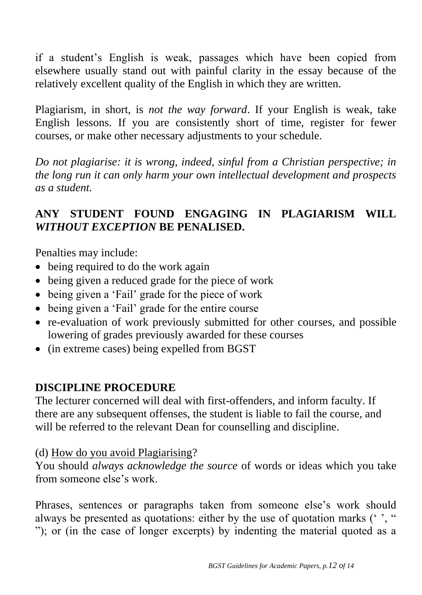if a student's English is weak, passages which have been copied from elsewhere usually stand out with painful clarity in the essay because of the relatively excellent quality of the English in which they are written.

Plagiarism, in short, is *not the way forward*. If your English is weak, take English lessons. If you are consistently short of time, register for fewer courses, or make other necessary adjustments to your schedule.

*Do not plagiarise: it is wrong, indeed, sinful from a Christian perspective; in the long run it can only harm your own intellectual development and prospects as a student.*

# **ANY STUDENT FOUND ENGAGING IN PLAGIARISM WILL**  *WITHOUT EXCEPTION* **BE PENALISED.**

Penalties may include:

- being required to do the work again
- being given a reduced grade for the piece of work
- being given a 'Fail' grade for the piece of work
- being given a 'Fail' grade for the entire course
- re-evaluation of work previously submitted for other courses, and possible lowering of grades previously awarded for these courses
- (in extreme cases) being expelled from BGST

## **DISCIPLINE PROCEDURE**

The lecturer concerned will deal with first-offenders, and inform faculty. If there are any subsequent offenses, the student is liable to fail the course, and will be referred to the relevant Dean for counselling and discipline*.*

## (d) How do you avoid Plagiarising?

You should *always acknowledge the source* of words or ideas which you take from someone else's work.

Phrases, sentences or paragraphs taken from someone else's work should always be presented as quotations: either by the use of quotation marks ('', " "); or (in the case of longer excerpts) by indenting the material quoted as a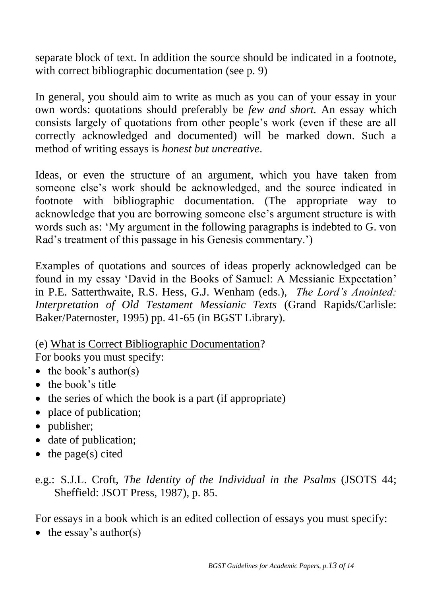separate block of text. In addition the source should be indicated in a footnote, with correct bibliographic documentation (see p. 9)

In general, you should aim to write as much as you can of your essay in your own words: quotations should preferably be *few and short.* An essay which consists largely of quotations from other people's work (even if these are all correctly acknowledged and documented) will be marked down. Such a method of writing essays is *honest but uncreative*.

Ideas, or even the structure of an argument, which you have taken from someone else's work should be acknowledged, and the source indicated in footnote with bibliographic documentation. (The appropriate way to acknowledge that you are borrowing someone else's argument structure is with words such as: 'My argument in the following paragraphs is indebted to G. von Rad's treatment of this passage in his Genesis commentary.')

Examples of quotations and sources of ideas properly acknowledged can be found in my essay 'David in the Books of Samuel: A Messianic Expectation' in P.E. Satterthwaite, R.S. Hess, G.J. Wenham (eds.), *The Lord's Anointed: Interpretation of Old Testament Messianic Texts* (Grand Rapids/Carlisle: Baker/Paternoster, 1995) pp. 41-65 (in BGST Library).

(e) What is Correct Bibliographic Documentation?

For books you must specify:

- $\bullet$  the book's author(s)
- the book's title
- the series of which the book is a part (if appropriate)
- place of publication;
- publisher;
- date of publication;
- $\bullet$  the page(s) cited
- e.g.: S.J.L. Croft, *The Identity of the Individual in the Psalms* (JSOTS 44; Sheffield: JSOT Press, 1987), p. 85.

For essays in a book which is an edited collection of essays you must specify:

 $\bullet$  the essay's author(s)